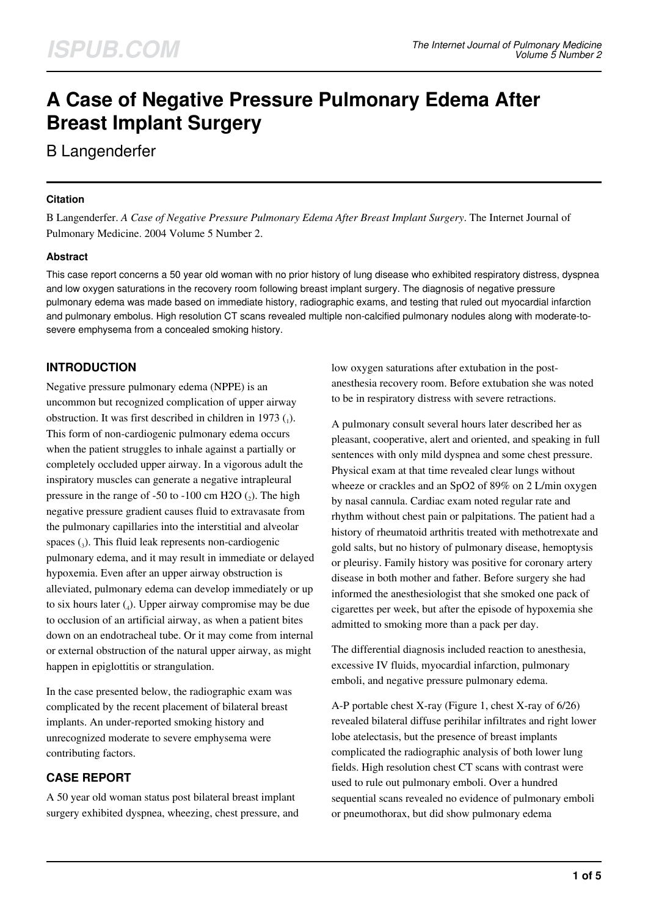# **A Case of Negative Pressure Pulmonary Edema After Breast Implant Surgery**

B Langenderfer

## **Citation**

B Langenderfer. *A Case of Negative Pressure Pulmonary Edema After Breast Implant Surgery*. The Internet Journal of Pulmonary Medicine. 2004 Volume 5 Number 2.

## **Abstract**

This case report concerns a 50 year old woman with no prior history of lung disease who exhibited respiratory distress, dyspnea and low oxygen saturations in the recovery room following breast implant surgery. The diagnosis of negative pressure pulmonary edema was made based on immediate history, radiographic exams, and testing that ruled out myocardial infarction and pulmonary embolus. High resolution CT scans revealed multiple non-calcified pulmonary nodules along with moderate-tosevere emphysema from a concealed smoking history.

# **INTRODUCTION**

Negative pressure pulmonary edema (NPPE) is an uncommon but recognized complication of upper airway obstruction. It was first described in children in 1973  $_{(1)}$ . This form of non-cardiogenic pulmonary edema occurs when the patient struggles to inhale against a partially or completely occluded upper airway. In a vigorous adult the inspiratory muscles can generate a negative intrapleural pressure in the range of  $-50$  to  $-100$  cm H2O  $(_2)$ . The high negative pressure gradient causes fluid to extravasate from the pulmonary capillaries into the interstitial and alveolar spaces  $(_{3})$ . This fluid leak represents non-cardiogenic pulmonary edema, and it may result in immediate or delayed hypoxemia. Even after an upper airway obstruction is alleviated, pulmonary edema can develop immediately or up to six hours later (<sup>4</sup> ). Upper airway compromise may be due to occlusion of an artificial airway, as when a patient bites down on an endotracheal tube. Or it may come from internal or external obstruction of the natural upper airway, as might happen in epiglottitis or strangulation.

In the case presented below, the radiographic exam was complicated by the recent placement of bilateral breast implants. An under-reported smoking history and unrecognized moderate to severe emphysema were contributing factors.

# **CASE REPORT**

A 50 year old woman status post bilateral breast implant surgery exhibited dyspnea, wheezing, chest pressure, and low oxygen saturations after extubation in the postanesthesia recovery room. Before extubation she was noted to be in respiratory distress with severe retractions.

A pulmonary consult several hours later described her as pleasant, cooperative, alert and oriented, and speaking in full sentences with only mild dyspnea and some chest pressure. Physical exam at that time revealed clear lungs without wheeze or crackles and an SpO2 of 89% on 2 L/min oxygen by nasal cannula. Cardiac exam noted regular rate and rhythm without chest pain or palpitations. The patient had a history of rheumatoid arthritis treated with methotrexate and gold salts, but no history of pulmonary disease, hemoptysis or pleurisy. Family history was positive for coronary artery disease in both mother and father. Before surgery she had informed the anesthesiologist that she smoked one pack of cigarettes per week, but after the episode of hypoxemia she admitted to smoking more than a pack per day.

The differential diagnosis included reaction to anesthesia, excessive IV fluids, myocardial infarction, pulmonary emboli, and negative pressure pulmonary edema.

A-P portable chest X-ray (Figure 1, chest X-ray of 6/26) revealed bilateral diffuse perihilar infiltrates and right lower lobe atelectasis, but the presence of breast implants complicated the radiographic analysis of both lower lung fields. High resolution chest CT scans with contrast were used to rule out pulmonary emboli. Over a hundred sequential scans revealed no evidence of pulmonary emboli or pneumothorax, but did show pulmonary edema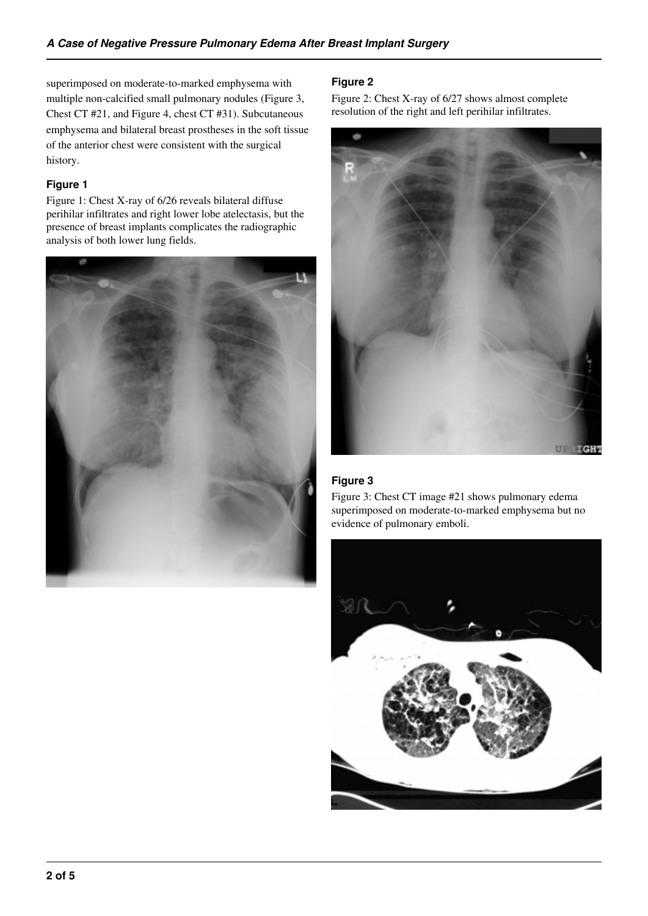superimposed on moderate-to-marked emphysema with multiple non-calcified small pulmonary nodules (Figure 3, Chest CT #21, and Figure 4, chest CT #31). Subcutaneous emphysema and bilateral breast prostheses in the soft tissue of the anterior chest were consistent with the surgical history.

#### **Figure 1**

Figure 1: Chest X-ray of 6/26 reveals bilateral diffuse perihilar infiltrates and right lower lobe atelectasis, but the presence of breast implants complicates the radiographic analysis of both lower lung fields.



## **Figure 2**

Figure 2: Chest X-ray of 6/27 shows almost complete resolution of the right and left perihilar infiltrates.



## **Figure 3**

Figure 3: Chest CT image #21 shows pulmonary edema superimposed on moderate-to-marked emphysema but no evidence of pulmonary emboli.

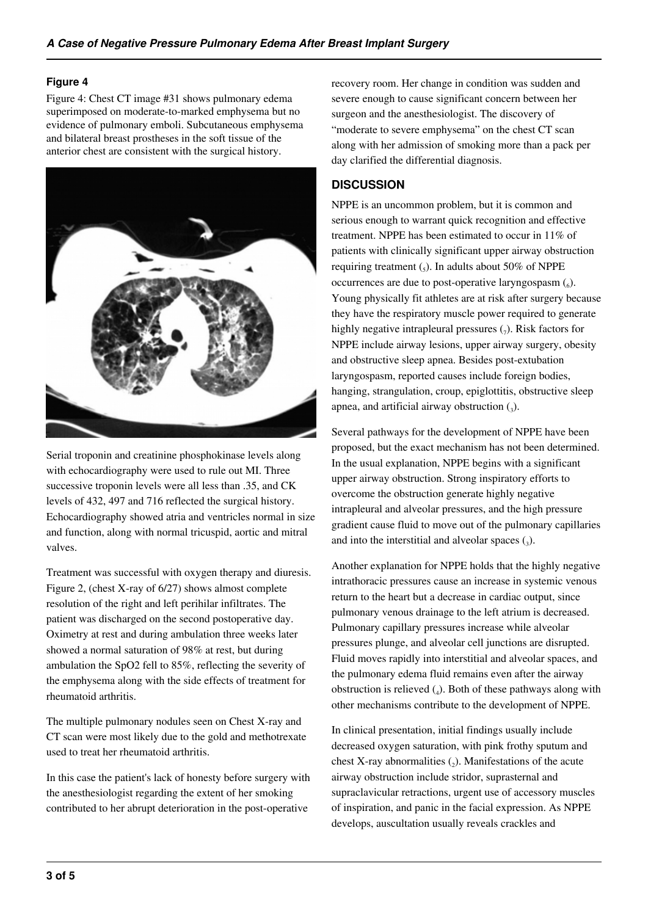## **Figure 4**

Figure 4: Chest CT image #31 shows pulmonary edema superimposed on moderate-to-marked emphysema but no evidence of pulmonary emboli. Subcutaneous emphysema and bilateral breast prostheses in the soft tissue of the anterior chest are consistent with the surgical history.



Serial troponin and creatinine phosphokinase levels along with echocardiography were used to rule out MI. Three successive troponin levels were all less than .35, and CK levels of 432, 497 and 716 reflected the surgical history. Echocardiography showed atria and ventricles normal in size and function, along with normal tricuspid, aortic and mitral valves.

Treatment was successful with oxygen therapy and diuresis. Figure 2, (chest X-ray of 6/27) shows almost complete resolution of the right and left perihilar infiltrates. The patient was discharged on the second postoperative day. Oximetry at rest and during ambulation three weeks later showed a normal saturation of 98% at rest, but during ambulation the SpO2 fell to 85%, reflecting the severity of the emphysema along with the side effects of treatment for rheumatoid arthritis.

The multiple pulmonary nodules seen on Chest X-ray and CT scan were most likely due to the gold and methotrexate used to treat her rheumatoid arthritis.

In this case the patient's lack of honesty before surgery with the anesthesiologist regarding the extent of her smoking contributed to her abrupt deterioration in the post-operative

recovery room. Her change in condition was sudden and severe enough to cause significant concern between her surgeon and the anesthesiologist. The discovery of "moderate to severe emphysema" on the chest CT scan along with her admission of smoking more than a pack per day clarified the differential diagnosis.

# **DISCUSSION**

NPPE is an uncommon problem, but it is common and serious enough to warrant quick recognition and effective treatment. NPPE has been estimated to occur in 11% of patients with clinically significant upper airway obstruction requiring treatment  $\binom{1}{5}$ . In adults about 50% of NPPE occurrences are due to post-operative laryngospasm  $(_6)$ . Young physically fit athletes are at risk after surgery because they have the respiratory muscle power required to generate highly negative intrapleural pressures  $(7)$ . Risk factors for NPPE include airway lesions, upper airway surgery, obesity and obstructive sleep apnea. Besides post-extubation laryngospasm, reported causes include foreign bodies, hanging, strangulation, croup, epiglottitis, obstructive sleep apnea, and artificial airway obstruction  $\left( \frac{1}{3} \right)$ .

Several pathways for the development of NPPE have been proposed, but the exact mechanism has not been determined. In the usual explanation, NPPE begins with a significant upper airway obstruction. Strong inspiratory efforts to overcome the obstruction generate highly negative intrapleural and alveolar pressures, and the high pressure gradient cause fluid to move out of the pulmonary capillaries and into the interstitial and alveolar spaces  $\left($ <sub>3</sub> $\right)$ .

Another explanation for NPPE holds that the highly negative intrathoracic pressures cause an increase in systemic venous return to the heart but a decrease in cardiac output, since pulmonary venous drainage to the left atrium is decreased. Pulmonary capillary pressures increase while alveolar pressures plunge, and alveolar cell junctions are disrupted. Fluid moves rapidly into interstitial and alveolar spaces, and the pulmonary edema fluid remains even after the airway obstruction is relieved  $(_4)$ . Both of these pathways along with other mechanisms contribute to the development of NPPE.

In clinical presentation, initial findings usually include decreased oxygen saturation, with pink frothy sputum and chest X-ray abnormalities  $(_{2})$ . Manifestations of the acute airway obstruction include stridor, suprasternal and supraclavicular retractions, urgent use of accessory muscles of inspiration, and panic in the facial expression. As NPPE develops, auscultation usually reveals crackles and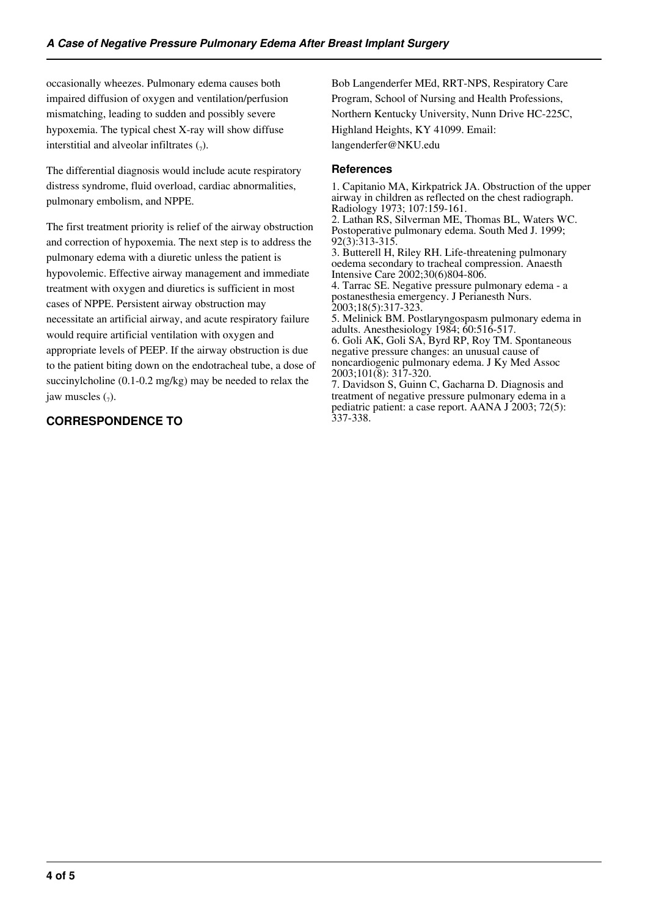occasionally wheezes. Pulmonary edema causes both impaired diffusion of oxygen and ventilation/perfusion mismatching, leading to sudden and possibly severe hypoxemia. The typical chest X-ray will show diffuse interstitial and alveolar infiltrates  $\binom{1}{7}$ .

The differential diagnosis would include acute respiratory distress syndrome, fluid overload, cardiac abnormalities, pulmonary embolism, and NPPE.

The first treatment priority is relief of the airway obstruction and correction of hypoxemia. The next step is to address the pulmonary edema with a diuretic unless the patient is hypovolemic. Effective airway management and immediate treatment with oxygen and diuretics is sufficient in most cases of NPPE. Persistent airway obstruction may necessitate an artificial airway, and acute respiratory failure would require artificial ventilation with oxygen and appropriate levels of PEEP. If the airway obstruction is due to the patient biting down on the endotracheal tube, a dose of succinylcholine (0.1-0.2 mg/kg) may be needed to relax the jaw muscles  $\binom{7}{7}$ .

# **CORRESPONDENCE TO**

Bob Langenderfer MEd, RRT-NPS, Respiratory Care Program, School of Nursing and Health Professions, Northern Kentucky University, Nunn Drive HC-225C, Highland Heights, KY 41099. Email: langenderfer@NKU.edu

#### **References**

1. Capitanio MA, Kirkpatrick JA. Obstruction of the upper airway in children as reflected on the chest radiograph. Radiology 1973; 107:159-161. 2. Lathan RS, Silverman ME, Thomas BL, Waters WC.

Postoperative pulmonary edema. South Med J. 1999; 92(3):313-315.

3. Butterell H, Riley RH. Life-threatening pulmonary oedema secondary to tracheal compression. Anaesth Intensive Care 2002;30(6)804-806.

4. Tarrac SE. Negative pressure pulmonary edema - a postanesthesia emergency. J Perianesth Nurs. 2003;18(5):317-323.

5. Melinick BM. Postlaryngospasm pulmonary edema in adults. Anesthesiology 1984; 60:516-517.

6. Goli AK, Goli SA, Byrd RP, Roy TM. Spontaneous negative pressure changes: an unusual cause of noncardiogenic pulmonary edema. J Ky Med Assoc 2003;101(8): 317-320.

7. Davidson S, Guinn C, Gacharna D. Diagnosis and treatment of negative pressure pulmonary edema in a pediatric patient: a case report. AANA J 2003; 72(5): 337-338.